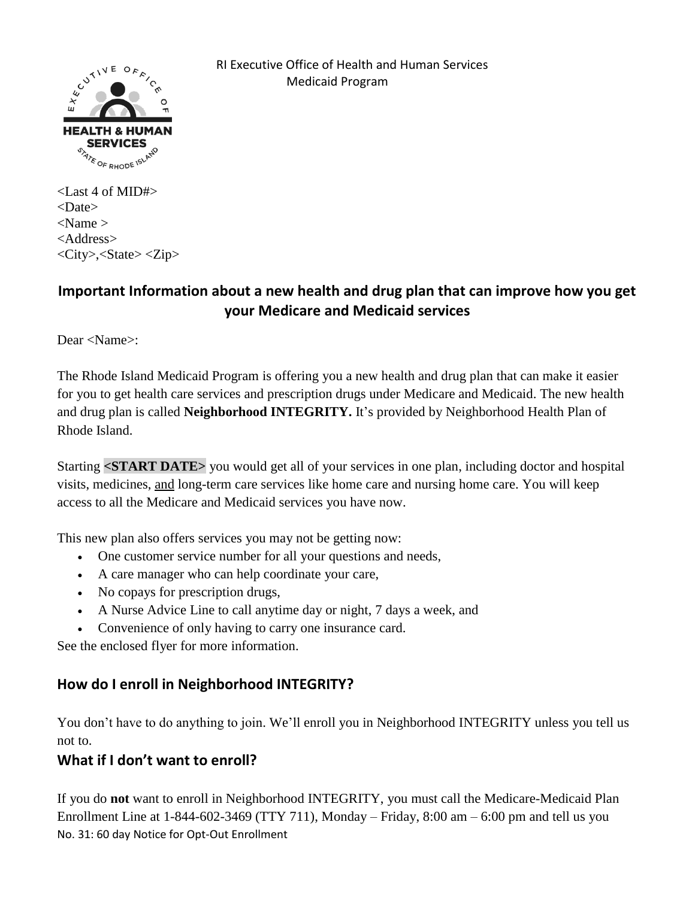

 RI Executive Office of Health and Human Services Medicaid Program

<Last 4 of MID#> <Date>  $<$ Name  $>$ <Address> <City>,<State> <Zip>

## **Important Information about a new health and drug plan that can improve how you get your Medicare and Medicaid services**

Dear <Name>:

The Rhode Island Medicaid Program is offering you a new health and drug plan that can make it easier for you to get health care services and prescription drugs under Medicare and Medicaid. The new health and drug plan is called **Neighborhood INTEGRITY.** It's provided by Neighborhood Health Plan of Rhode Island.

Starting **<START DATE>** you would get all of your services in one plan, including doctor and hospital visits, medicines, and long-term care services like home care and nursing home care. You will keep access to all the Medicare and Medicaid services you have now.

This new plan also offers services you may not be getting now:

- One customer service number for all your questions and needs,
- A care manager who can help coordinate your care,
- No copays for prescription drugs,
- A Nurse Advice Line to call anytime day or night, 7 days a week, and
- Convenience of only having to carry one insurance card.

See the enclosed flyer for more information.

## **How do I enroll in Neighborhood INTEGRITY?**

You don't have to do anything to join. We'll enroll you in Neighborhood INTEGRITY unless you tell us not to.

## **What if I don't want to enroll?**

No. 31: 60 day Notice for Opt-Out Enrollment If you do **not** want to enroll in Neighborhood INTEGRITY, you must call the Medicare-Medicaid Plan Enrollment Line at  $1-844-602-3469$  (TTY 711), Monday – Friday,  $8:00$  am –  $6:00$  pm and tell us you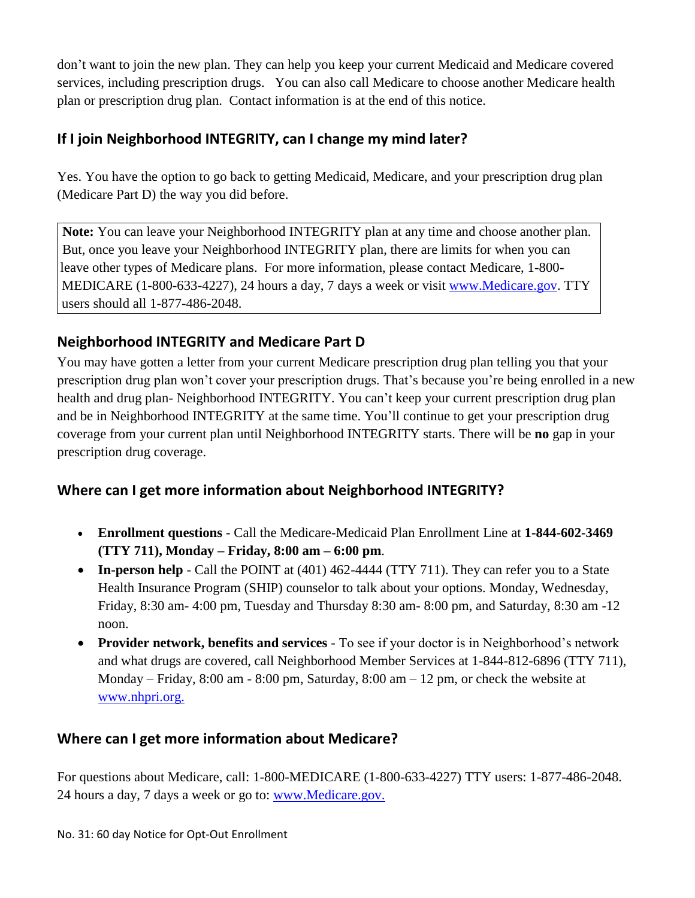don't want to join the new plan. They can help you keep your current Medicaid and Medicare covered services, including prescription drugs. You can also call Medicare to choose another Medicare health plan or prescription drug plan. Contact information is at the end of this notice.

## **If I join Neighborhood INTEGRITY, can I change my mind later?**

Yes. You have the option to go back to getting Medicaid, Medicare, and your prescription drug plan (Medicare Part D) the way you did before.

**Note:** You can leave your Neighborhood INTEGRITY plan at any time and choose another plan. But, once you leave your Neighborhood INTEGRITY plan, there are limits for when you can leave other types of Medicare plans. For more information, please contact Medicare, 1-800-MEDICARE (1-800-633-4227), 24 hours a day, 7 days a week or visit [www.Medicare.gov.](http://www.medicare.gov/) TTY users should all 1-877-486-2048.

# **Neighborhood INTEGRITY and Medicare Part D**

You may have gotten a letter from your current Medicare prescription drug plan telling you that your prescription drug plan won't cover your prescription drugs. That's because you're being enrolled in a new health and drug plan- Neighborhood INTEGRITY. You can't keep your current prescription drug plan and be in Neighborhood INTEGRITY at the same time. You'll continue to get your prescription drug coverage from your current plan until Neighborhood INTEGRITY starts. There will be **no** gap in your prescription drug coverage.

## **Where can I get more information about Neighborhood INTEGRITY?**

- **Enrollment questions** Call the Medicare-Medicaid Plan Enrollment Line at **1-844-602-3469 (TTY 711), Monday – Friday, 8:00 am – 6:00 pm**.
- **In-person help** Call the POINT at (401) 462-4444 (TTY 711). They can refer you to a State Health Insurance Program (SHIP) counselor to talk about your options. Monday, Wednesday, Friday, 8:30 am- 4:00 pm, Tuesday and Thursday 8:30 am- 8:00 pm, and Saturday, 8:30 am -12 noon.
- **Provider network, benefits and services** To see if your doctor is in Neighborhood's network and what drugs are covered, call Neighborhood Member Services at 1-844-812-6896 (TTY 711), Monday – Friday, 8:00 am - 8:00 pm, Saturday, 8:00 am – 12 pm, or check the website at [www.nhpri.org.](http://www.nhpri.org/)

## **Where can I get more information about Medicare?**

For questions about Medicare, call: 1-800-MEDICARE (1-800-633-4227) TTY users: 1-877-486-2048. 24 hours a day, 7 days a week or go to: [www.Medicare.gov.](http://www.medicare.gov/)